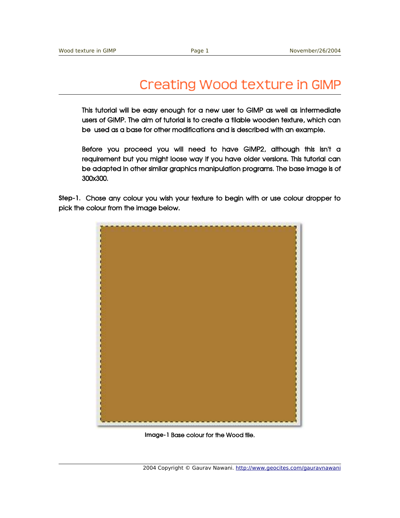## Creating Wood texture in GIMP

This tutorial will be easy enough for a new user to GIMP as well as intermediate users of GIMP. The aim of tutorial is to create a tilable wooden texture, which can be used as a base for other modifications and is described with an example.

Before you proceed you will need to have GIMP2, although this isn't a requirement but you might loose way if you have older versions. This tutorial can be adapted in other similar graphics manipulation programs. The base image is of 300x300.

Step1. Chose any colour you wish your texture to begin with or use colour dropper to pick the colour from the image below.



Image-1 Base colour for the Wood tile.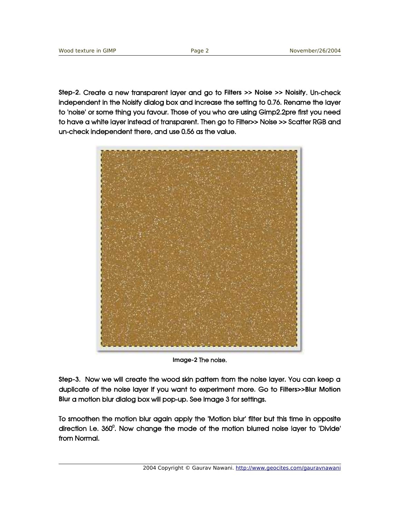Step-2. Create a new transparent layer and go to Filters >> Noise >> Noisify. Un-check independent in the Noisify dialog box and increase the setting to 0.76. Rename the layer to 'noise' or some thing you favour. Those of you who are using Gimp2.2pre first you need to have a white layer instead of transparent. Then go to Filter>> Noise >> Scatter RGB and un-check independent there, and use 0.56 as the value.



Image-2 The noise.

Step-3. Now we will create the wood skin pattern from the noise layer. You can keep a duplicate of the noise layer if you want to experiment more. Go to Filters>>Blur Motion Blur a motion blur dialog box will pop-up. See Image 3 for settings.

To smoothen the motion blur again apply the 'Motion blur' filter but this time in opposite direction i.e. 360<sup>0</sup>. Now change the mode of the motion blurred noise layer to 'Divide' from Normal.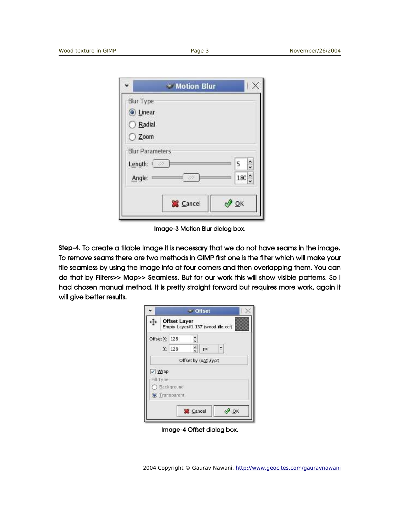|                  | <b>Motion Blur</b>     |                    |
|------------------|------------------------|--------------------|
| <b>Blur Type</b> |                        |                    |
| <b>Einear</b>    |                        |                    |
| Radial           |                        |                    |
| $\bigcirc$ Zoom  |                        |                    |
|                  | <b>Blur Parameters</b> |                    |
| Length: <        |                        | $\frac{1}{2}$<br>5 |
| Angle:           |                        | $180^\circ$        |
|                  |                        |                    |
|                  | <b>X</b> Cancel        | QK                 |
|                  |                        |                    |

Image-3 Motion Blur dialog box.

Step-4. To create a tilable image it is necessary that we do not have seams in the image. To remove seams there are two methods in GIMP first one is the filter which will make your tile seamless by using the image info at four corners and then overlapping them. You can do that by Filters>> Map>> Seamless. But for our work this will show visible patterns. So I had chosen manual method. It is pretty straight forward but requires more work, again it will give better results.

|                 | * Offset                                                 |
|-----------------|----------------------------------------------------------|
|                 | <b>Offset Layer</b><br>Empty Layer#1-137 (wood-tile.xcf) |
| Offset X: 128   | $\hat{\cdot}$                                            |
|                 | $\hat{\cdot}$<br>۳<br>Y: 128<br>px                       |
|                 | Offset by $(x/2)$ , $(y/2)$                              |
| $\sqrt{ }$ Wrap |                                                          |
| Fill Type       |                                                          |
|                 | Background                                               |
|                 | $\odot$ Transparent                                      |
|                 |                                                          |
|                 | & Cancel<br><b>OK</b>                                    |
|                 |                                                          |

Image-4 Offset dialog box.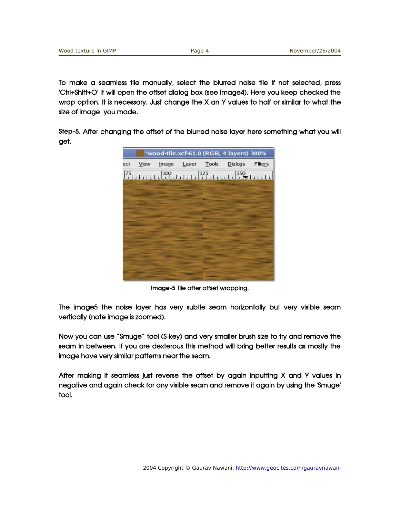To make a seamless tile manually, select the blurred noise tile if not selected, press 'Ctrl+Shift+O' It will open the offset dialog box (see Image4). Here you keep checked the wrap option. It is necessary. Just change the X an Y values to half or similar to what the size of image you made.

Step-5. After changing the offset of the blurred noise layer here something what you will get.



Image-5 Tile after offset wrapping.

The image5 the noise layer has very subtle seam horizontally but very visible seam vertically (note image is zoomed).

Now you can use "Smuge" tool (Skey) and very smaller brush size to try and remove the seam in between. If you are dexterous this method will bring better results as mostly the image have very similar patterns near the seam.

After making it seamless just reverse the offset by again inputting X and Y values in negative and again check for any visible seam and remove it again by using the 'Smuge' tool.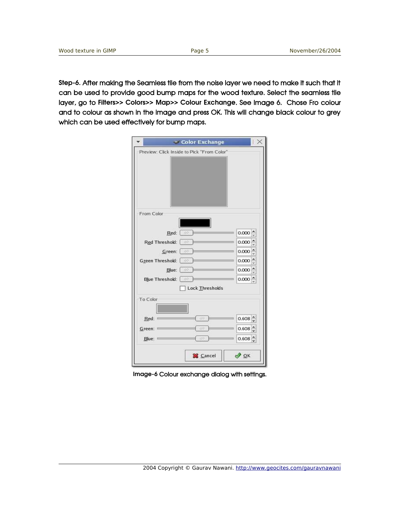Step-6. After making the Seamless tile from the noise layer we need to make it such that it can be used to provide good bump maps for the wood texture. Select the seamless tile layer, go to Filters>> Colors>> Map>> Colour Exchange. See Image 6. Chose Fro colour and to colour as shown in the image and press OK. This will change black colour to grey which can be used effectively for bump maps.

|            |                                      | Color Exchange                             |                        |
|------------|--------------------------------------|--------------------------------------------|------------------------|
|            |                                      | Preview: Click Inside to Pick "From Color" |                        |
|            |                                      |                                            |                        |
|            |                                      |                                            |                        |
|            |                                      |                                            |                        |
|            |                                      |                                            |                        |
|            |                                      |                                            |                        |
| From Color |                                      |                                            |                        |
|            |                                      |                                            |                        |
|            | $Red:$ $\boxed{\oslash}$             |                                            | 0.000                  |
|            | Red Threshold: 2                     |                                            | $\frac{1}{2}$<br>0.000 |
|            | Green: $\Box$                        |                                            | $\hat{\cdot}$<br>0.000 |
|            | Green Threshold: [228                |                                            | 0.000                  |
|            | Blue: $\Box$<br>Blue Threshold: [ 22 |                                            | 0.000<br>$0.000 \div$  |
|            |                                      | Lock Thresholds                            |                        |
| To Color   |                                      |                                            |                        |
|            |                                      |                                            |                        |
| Red: 1     |                                      | - Ar                                       | $0.608 \hat{z}$        |
| Green:     |                                      |                                            | 0.608                  |
| Blue:      |                                      | 40                                         | $0.608 \hat{z}$        |
|            |                                      |                                            |                        |
|            |                                      | <b>X</b> Cancel                            | $\frac{1}{2}$ ok       |

Image-6 Colour exchange dialog with settings.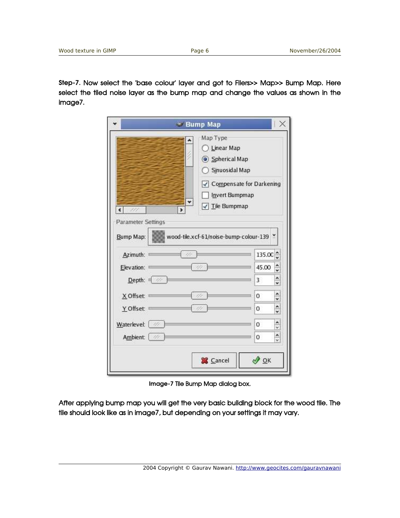Step-7. Now select the 'base colour' layer and got to Filers>> Map>> Bump Map. Here select the tiled noise layer as the bump map and change the values as shown in the image7.

|                                 |         | * Bump Map                                                                                                         |                |        | X             |
|---------------------------------|---------|--------------------------------------------------------------------------------------------------------------------|----------------|--------|---------------|
| Ł.<br><b>Parameter Settings</b> | $\star$ | Map Type<br>Linear Map<br>Spherical Map<br>Sinuosidal Map<br>√ Compensate for Darkening<br>$\sqrt{ }$ Tile Bumpmap | Invert Bumpmap |        |               |
| Bump Map:                       |         | wood-tile.xcf-61/noise-bump-colour-139 *                                                                           |                |        |               |
|                                 |         |                                                                                                                    |                |        |               |
| Azimuth:                        |         |                                                                                                                    |                | 135.00 | $\hat{\cdot}$ |
| Elevation:                      |         |                                                                                                                    |                | 45.00  | $\hat{\cdot}$ |
| Depth:                          |         |                                                                                                                    |                | 3      | $\hat{\cdot}$ |
| X Offset:                       |         |                                                                                                                    |                | 0      | $\frac{1}{2}$ |
| Y Offset:                       |         |                                                                                                                    |                | 0      | $\frac{1}{2}$ |
| Waterlevel: 2                   |         |                                                                                                                    |                | 0      | $\frac{1}{x}$ |

Image-7 Tile Bump Map dialog box.

After applying bump map you will get the very basic building block for the wood tile. The tile should look like as in image7, but depending on your settings it may vary.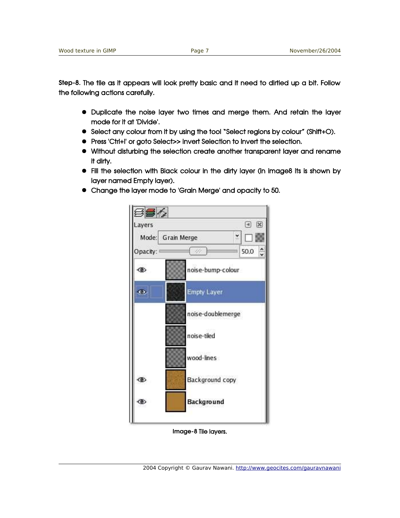Step-8. The tile as it appears will look pretty basic and it need to dirtied up a bit. Follow the following actions carefully.

- Duplicate the noise layer two times and merge them. And retain the layer mode for it at 'Divide'.
- Select any colour from it by using the tool "Select regions by colour" (Shift+O).
- Press 'Ctrl+I' or goto Select>> Invert Selection to Invert the selection.
- Without disturbing the selection create another transparent layer and rename it dirty.
- Fill the selection with Black colour in the dirty layer (in image8 its is shown by layer named Empty layer).
- Change the layer mode to 'Grain Merge' and opacity to 50.



Image-8 Tile layers.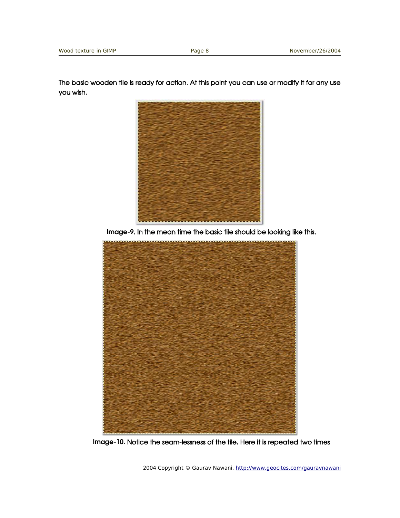The basic wooden tile is ready for action. At this point you can use or modify it for any use you wish.



Image-9. In the mean time the basic tile should be looking like this.



Image-10. Notice the seam-lessness of the tile. Here it is repeated two times